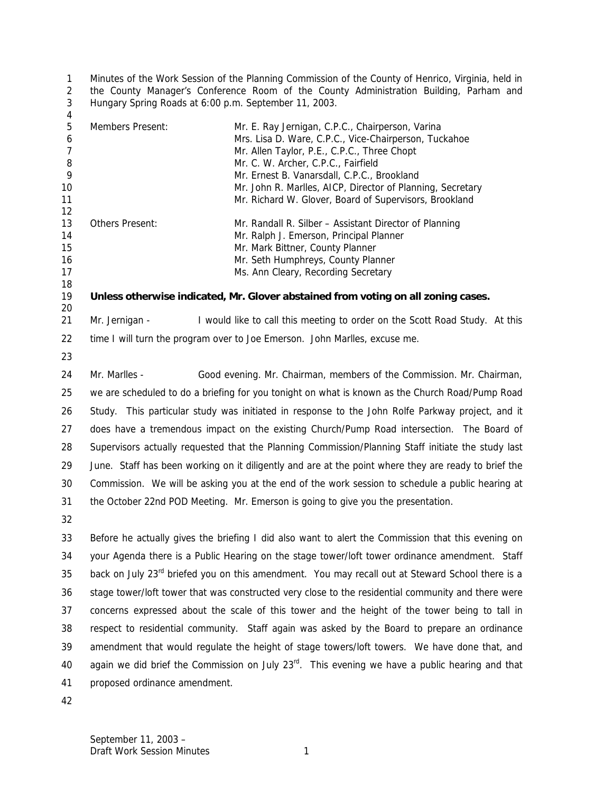Minutes of the Work Session of the Planning Commission of the County of Henrico, Virginia, held in the County Manager's Conference Room of the County Administration Building, Parham and Hungary Spring Roads at 6:00 p.m. September 11, 2003.

| $\overline{4}$           |                                                                                                              |                                                                                                                                                          |  |
|--------------------------|--------------------------------------------------------------------------------------------------------------|----------------------------------------------------------------------------------------------------------------------------------------------------------|--|
| 5<br>6<br>$\overline{7}$ | Members Present:                                                                                             | Mr. E. Ray Jernigan, C.P.C., Chairperson, Varina<br>Mrs. Lisa D. Ware, C.P.C., Vice-Chairperson, Tuckahoe<br>Mr. Allen Taylor, P.E., C.P.C., Three Chopt |  |
| 8                        |                                                                                                              | Mr. C. W. Archer, C.P.C., Fairfield                                                                                                                      |  |
| 9                        |                                                                                                              | Mr. Ernest B. Vanarsdall, C.P.C., Brookland                                                                                                              |  |
| 10<br>11                 |                                                                                                              | Mr. John R. Marlles, AICP, Director of Planning, Secretary<br>Mr. Richard W. Glover, Board of Supervisors, Brookland                                     |  |
| 12                       |                                                                                                              |                                                                                                                                                          |  |
| 13                       | Others Present:                                                                                              | Mr. Randall R. Silber - Assistant Director of Planning                                                                                                   |  |
| 14                       |                                                                                                              | Mr. Ralph J. Emerson, Principal Planner                                                                                                                  |  |
| 15<br>16                 |                                                                                                              | Mr. Mark Bittner, County Planner                                                                                                                         |  |
| 17                       |                                                                                                              | Mr. Seth Humphreys, County Planner<br>Ms. Ann Cleary, Recording Secretary                                                                                |  |
| 18                       |                                                                                                              |                                                                                                                                                          |  |
| 19<br>20                 |                                                                                                              | Unless otherwise indicated, Mr. Glover abstained from voting on all zoning cases.                                                                        |  |
| 21                       | Mr. Jernigan -                                                                                               | I would like to call this meeting to order on the Scott Road Study. At this                                                                              |  |
| 22                       |                                                                                                              | time I will turn the program over to Joe Emerson. John Marlles, excuse me.                                                                               |  |
| 23                       |                                                                                                              |                                                                                                                                                          |  |
| 24                       | Mr. Marlles -                                                                                                | Good evening. Mr. Chairman, members of the Commission. Mr. Chairman,                                                                                     |  |
| 25                       |                                                                                                              | we are scheduled to do a briefing for you tonight on what is known as the Church Road/Pump Road                                                          |  |
| 26                       | Study. This particular study was initiated in response to the John Rolfe Parkway project, and it             |                                                                                                                                                          |  |
| 27                       |                                                                                                              | does have a tremendous impact on the existing Church/Pump Road intersection. The Board of                                                                |  |
| 28                       |                                                                                                              | Supervisors actually requested that the Planning Commission/Planning Staff initiate the study last                                                       |  |
| 29                       |                                                                                                              | June. Staff has been working on it diligently and are at the point where they are ready to brief the                                                     |  |
| 30                       | Commission. We will be asking you at the end of the work session to schedule a public hearing at             |                                                                                                                                                          |  |
| 31                       |                                                                                                              | the October 22nd POD Meeting. Mr. Emerson is going to give you the presentation.                                                                         |  |
| 32                       |                                                                                                              |                                                                                                                                                          |  |
| 33                       |                                                                                                              | Before he actually gives the briefing I did also want to alert the Commission that this evening on                                                       |  |
| 34                       | your Agenda there is a Public Hearing on the stage tower/loft tower ordinance amendment. Staff               |                                                                                                                                                          |  |
| 35                       | back on July 23 <sup>rd</sup> briefed you on this amendment. You may recall out at Steward School there is a |                                                                                                                                                          |  |
| 36                       |                                                                                                              | stage tower/loft tower that was constructed very close to the residential community and there were                                                       |  |
| 37                       | concerns expressed about the scale of this tower and the height of the tower being to tall in                |                                                                                                                                                          |  |
| 38                       |                                                                                                              | respect to residential community. Staff again was asked by the Board to prepare an ordinance                                                             |  |
| 39                       | amendment that would regulate the height of stage towers/loft towers. We have done that, and                 |                                                                                                                                                          |  |
| 40                       |                                                                                                              | again we did brief the Commission on July $23rd$ . This evening we have a public hearing and that                                                        |  |

proposed ordinance amendment.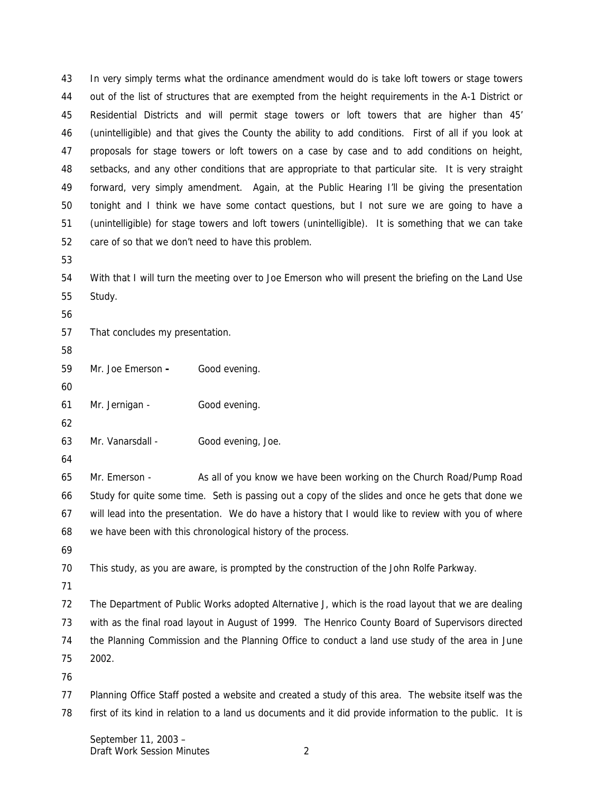In very simply terms what the ordinance amendment would do is take loft towers or stage towers out of the list of structures that are exempted from the height requirements in the A-1 District or Residential Districts and will permit stage towers or loft towers that are higher than 45' (unintelligible) and that gives the County the ability to add conditions. First of all if you look at proposals for stage towers or loft towers on a case by case and to add conditions on height, setbacks, and any other conditions that are appropriate to that particular site. It is very straight forward, very simply amendment. Again, at the Public Hearing I'll be giving the presentation tonight and I think we have some contact questions, but I not sure we are going to have a (unintelligible) for stage towers and loft towers (unintelligible). It is something that we can take care of so that we don't need to have this problem. With that I will turn the meeting over to Joe Emerson who will present the briefing on the Land Use Study. That concludes my presentation.

Mr. Joe Emerson **-** Good evening.

Mr. Jernigan - Good evening.

Mr. Vanarsdall - Good evening, Joe.

 Mr. Emerson - As all of you know we have been working on the Church Road/Pump Road Study for quite some time. Seth is passing out a copy of the slides and once he gets that done we will lead into the presentation. We do have a history that I would like to review with you of where we have been with this chronological history of the process.

This study, as you are aware, is prompted by the construction of the John Rolfe Parkway.

 The Department of Public Works adopted Alternative J, which is the road layout that we are dealing with as the final road layout in August of 1999. The Henrico County Board of Supervisors directed the Planning Commission and the Planning Office to conduct a land use study of the area in June 2002.

 Planning Office Staff posted a website and created a study of this area. The website itself was the first of its kind in relation to a land us documents and it did provide information to the public. It is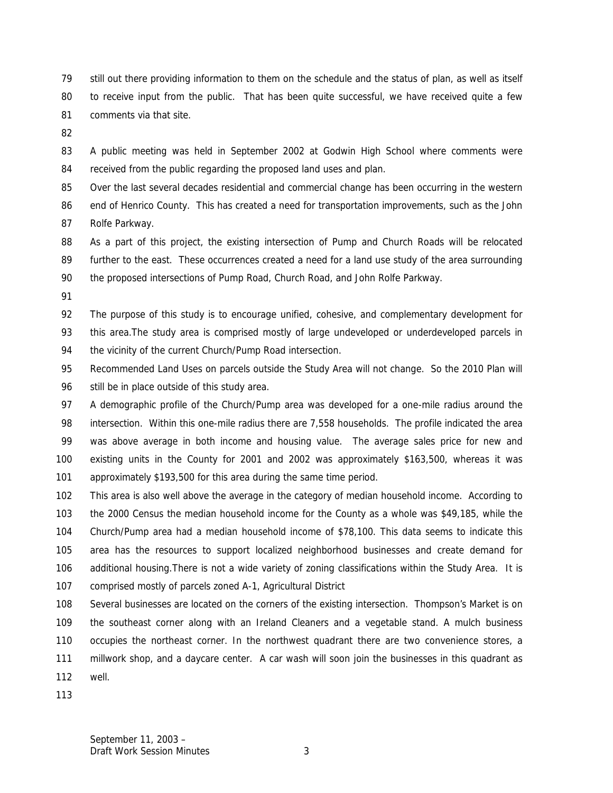still out there providing information to them on the schedule and the status of plan, as well as itself to receive input from the public. That has been quite successful, we have received quite a few comments via that site.

 A public meeting was held in September 2002 at Godwin High School where comments were received from the public regarding the proposed land uses and plan.

 Over the last several decades residential and commercial change has been occurring in the western end of Henrico County. This has created a need for transportation improvements, such as the John Rolfe Parkway.

88 As a part of this project, the existing intersection of Pump and Church Roads will be relocated further to the east. These occurrences created a need for a land use study of the area surrounding the proposed intersections of Pump Road, Church Road, and John Rolfe Parkway.

 The purpose of this study is to encourage unified, cohesive, and complementary development for this area.The study area is comprised mostly of large undeveloped or underdeveloped parcels in 94 the vicinity of the current Church/Pump Road intersection.

 Recommended Land Uses on parcels outside the Study Area will not change. So the 2010 Plan will 96 still be in place outside of this study area.

 A demographic profile of the Church/Pump area was developed for a one-mile radius around the intersection. Within this one-mile radius there are 7,558 households. The profile indicated the area was above average in both income and housing value. The average sales price for new and existing units in the County for 2001 and 2002 was approximately \$163,500, whereas it was approximately \$193,500 for this area during the same time period.

 This area is also well above the average in the category of median household income. According to the 2000 Census the median household income for the County as a whole was \$49,185, while the Church/Pump area had a median household income of \$78,100. This data seems to indicate this area has the resources to support localized neighborhood businesses and create demand for additional housing.There is not a wide variety of zoning classifications within the Study Area. It is comprised mostly of parcels zoned A-1, Agricultural District

 Several businesses are located on the corners of the existing intersection. Thompson's Market is on the southeast corner along with an Ireland Cleaners and a vegetable stand. A mulch business occupies the northeast corner. In the northwest quadrant there are two convenience stores, a millwork shop, and a daycare center. A car wash will soon join the businesses in this quadrant as well.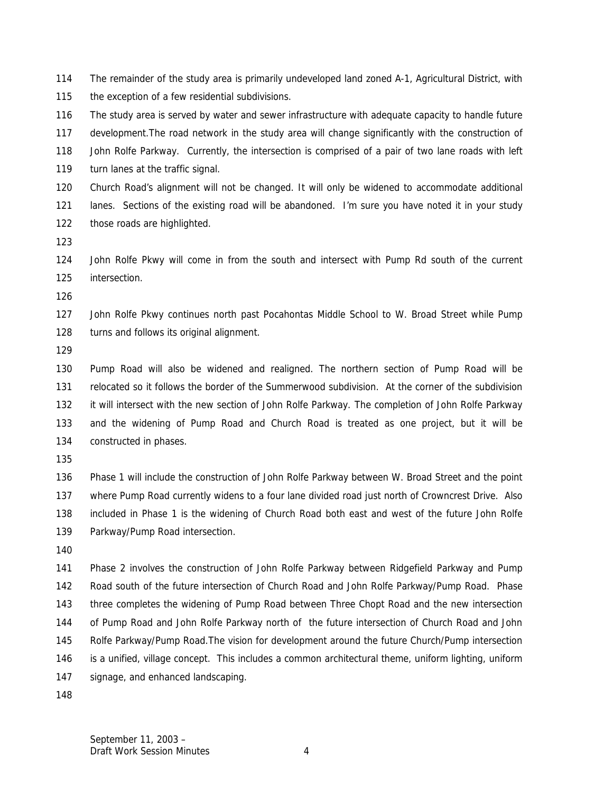The remainder of the study area is primarily undeveloped land zoned A-1, Agricultural District, with

the exception of a few residential subdivisions.

 The study area is served by water and sewer infrastructure with adequate capacity to handle future development.The road network in the study area will change significantly with the construction of John Rolfe Parkway. Currently, the intersection is comprised of a pair of two lane roads with left turn lanes at the traffic signal.

 Church Road's alignment will not be changed. It will only be widened to accommodate additional lanes. Sections of the existing road will be abandoned. I'm sure you have noted it in your study those roads are highlighted.

 John Rolfe Pkwy will come in from the south and intersect with Pump Rd south of the current intersection.

 John Rolfe Pkwy continues north past Pocahontas Middle School to W. Broad Street while Pump 128 turns and follows its original alignment.

 Pump Road will also be widened and realigned. The northern section of Pump Road will be relocated so it follows the border of the Summerwood subdivision. At the corner of the subdivision it will intersect with the new section of John Rolfe Parkway. The completion of John Rolfe Parkway and the widening of Pump Road and Church Road is treated as one project, but it will be constructed in phases.

 Phase 1 will include the construction of John Rolfe Parkway between W. Broad Street and the point where Pump Road currently widens to a four lane divided road just north of Crowncrest Drive. Also included in Phase 1 is the widening of Church Road both east and west of the future John Rolfe Parkway/Pump Road intersection.

 Phase 2 involves the construction of John Rolfe Parkway between Ridgefield Parkway and Pump Road south of the future intersection of Church Road and John Rolfe Parkway/Pump Road. Phase three completes the widening of Pump Road between Three Chopt Road and the new intersection of Pump Road and John Rolfe Parkway north of the future intersection of Church Road and John Rolfe Parkway/Pump Road.The vision for development around the future Church/Pump intersection is a unified, village concept. This includes a common architectural theme, uniform lighting, uniform signage, and enhanced landscaping.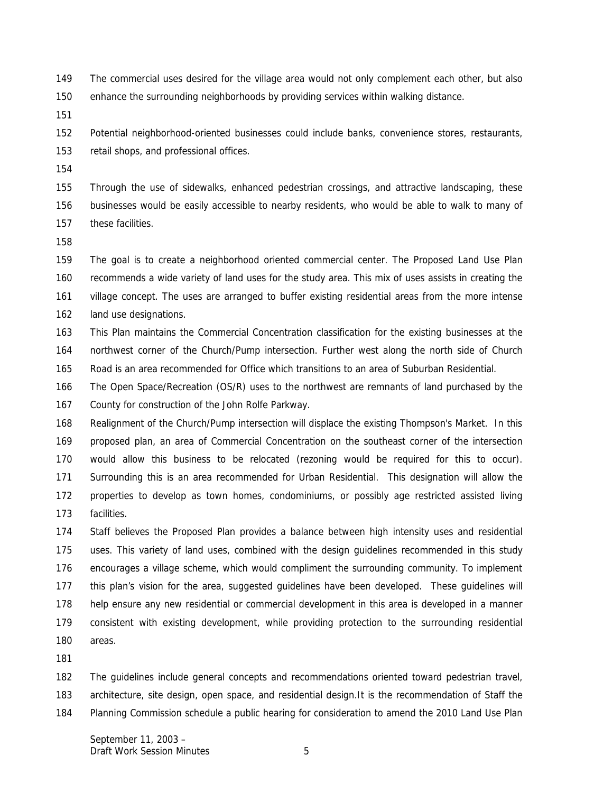The commercial uses desired for the village area would not only complement each other, but also

enhance the surrounding neighborhoods by providing services within walking distance.

 Potential neighborhood-oriented businesses could include banks, convenience stores, restaurants, retail shops, and professional offices.

 Through the use of sidewalks, enhanced pedestrian crossings, and attractive landscaping, these businesses would be easily accessible to nearby residents, who would be able to walk to many of these facilities.

 The goal is to create a neighborhood oriented commercial center. The Proposed Land Use Plan recommends a wide variety of land uses for the study area. This mix of uses assists in creating the village concept. The uses are arranged to buffer existing residential areas from the more intense 162 land use designations.

 This Plan maintains the Commercial Concentration classification for the existing businesses at the northwest corner of the Church/Pump intersection. Further west along the north side of Church Road is an area recommended for Office which transitions to an area of Suburban Residential.

 The Open Space/Recreation (OS/R) uses to the northwest are remnants of land purchased by the County for construction of the John Rolfe Parkway.

 Realignment of the Church/Pump intersection will displace the existing Thompson's Market. In this proposed plan, an area of Commercial Concentration on the southeast corner of the intersection would allow this business to be relocated (rezoning would be required for this to occur). Surrounding this is an area recommended for Urban Residential. This designation will allow the properties to develop as town homes, condominiums, or possibly age restricted assisted living facilities.

 Staff believes the Proposed Plan provides a balance between high intensity uses and residential uses. This variety of land uses, combined with the design guidelines recommended in this study encourages a village scheme, which would compliment the surrounding community. To implement this plan's vision for the area, suggested guidelines have been developed. These guidelines will help ensure any new residential or commercial development in this area is developed in a manner consistent with existing development, while providing protection to the surrounding residential areas.

The guidelines include general concepts and recommendations oriented toward pedestrian travel,

architecture, site design, open space, and residential design.It is the recommendation of Staff the

Planning Commission schedule a public hearing for consideration to amend the 2010 Land Use Plan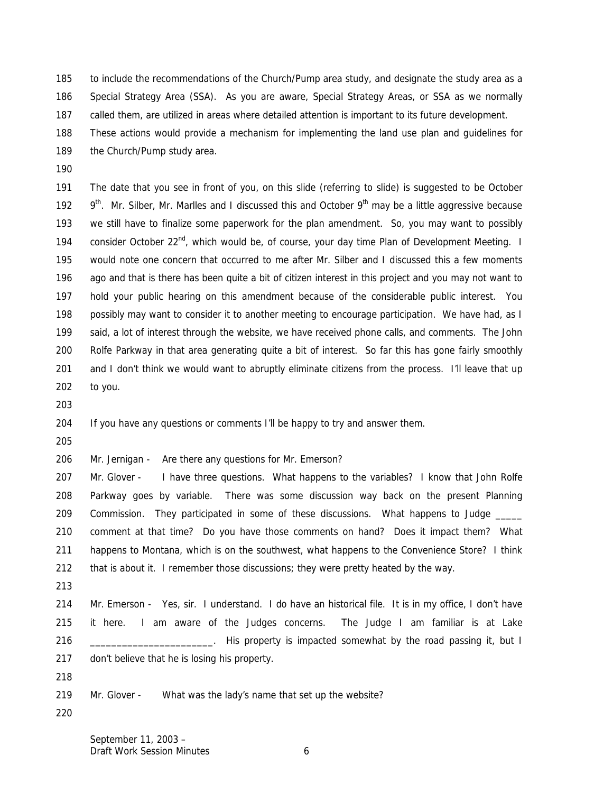to include the recommendations of the Church/Pump area study, and designate the study area as a Special Strategy Area (SSA). As you are aware, Special Strategy Areas, or SSA as we normally called them, are utilized in areas where detailed attention is important to its future development. These actions would provide a mechanism for implementing the land use plan and guidelines for

- 189 the Church/Pump study area.
- 

 The date that you see in front of you, on this slide (referring to slide) is suggested to be October  $9<sup>th</sup>$ . Mr. Silber, Mr. Marlles and I discussed this and October  $9<sup>th</sup>$  may be a little aggressive because we still have to finalize some paperwork for the plan amendment. So, you may want to possibly 194 consider October  $22<sup>nd</sup>$ , which would be, of course, your day time Plan of Development Meeting. I would note one concern that occurred to me after Mr. Silber and I discussed this a few moments 196 ago and that is there has been quite a bit of citizen interest in this project and you may not want to hold your public hearing on this amendment because of the considerable public interest. You possibly may want to consider it to another meeting to encourage participation. We have had, as I said, a lot of interest through the website, we have received phone calls, and comments. The John Rolfe Parkway in that area generating quite a bit of interest. So far this has gone fairly smoothly 201 and I don't think we would want to abruptly eliminate citizens from the process. I'll leave that up to you.

If you have any questions or comments I'll be happy to try and answer them.

Mr. Jernigan - Are there any questions for Mr. Emerson?

207 Mr. Glover - I have three questions. What happens to the variables? I know that John Rolfe Parkway goes by variable. There was some discussion way back on the present Planning 209 Commission. They participated in some of these discussions. What happens to Judge comment at that time? Do you have those comments on hand? Does it impact them? What happens to Montana, which is on the southwest, what happens to the Convenience Store? I think that is about it. I remember those discussions; they were pretty heated by the way.

 Mr. Emerson - Yes, sir. I understand. I do have an historical file. It is in my office, I don't have it here. I am aware of the Judges concerns. The Judge I am familiar is at Lake 216 \_\_\_\_\_\_\_\_\_\_\_\_\_\_\_\_\_\_\_\_\_\_\_. His property is impacted somewhat by the road passing it, but I don't believe that he is losing his property.

Mr. Glover - What was the lady's name that set up the website?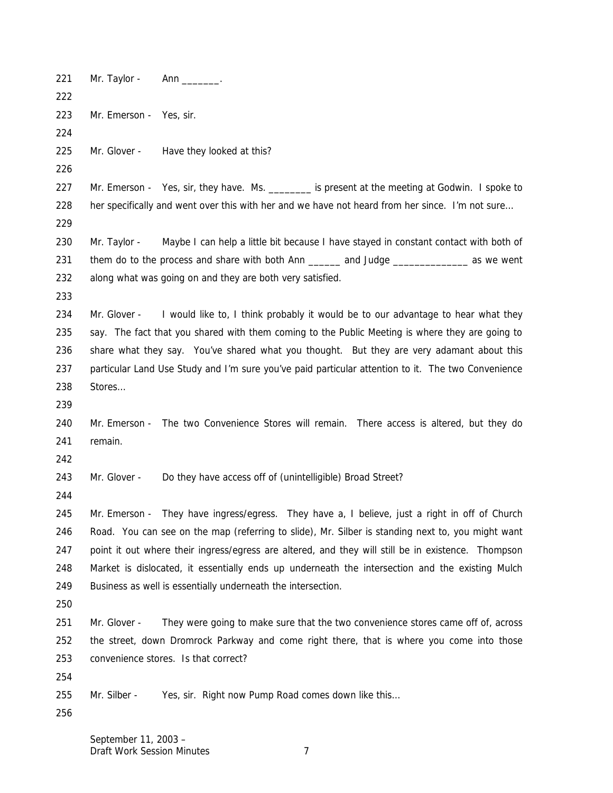221 Mr. Taylor - Ann . Mr. Emerson - Yes, sir. Mr. Glover - Have they looked at this? 227 Mr. Emerson - Yes, sir, they have. Ms. \_\_\_\_\_\_\_\_ is present at the meeting at Godwin. I spoke to 228 her specifically and went over this with her and we have not heard from her since. I'm not sure... 230 Mr. Taylor - Maybe I can help a little bit because I have stayed in constant contact with both of 231 them do to the process and share with both Ann \_\_\_\_\_\_ and Judge \_\_\_\_\_\_\_\_\_\_\_ as we went along what was going on and they are both very satisfied. 234 Mr. Glover - I would like to, I think probably it would be to our advantage to hear what they say. The fact that you shared with them coming to the Public Meeting is where they are going to share what they say. You've shared what you thought. But they are very adamant about this particular Land Use Study and I'm sure you've paid particular attention to it. The two Convenience Stores… Mr. Emerson - The two Convenience Stores will remain. There access is altered, but they do remain. 243 Mr. Glover - Do they have access off of (unintelligible) Broad Street? Mr. Emerson - They have ingress/egress. They have a, I believe, just a right in off of Church Road. You can see on the map (referring to slide), Mr. Silber is standing next to, you might want point it out where their ingress/egress are altered, and they will still be in existence. Thompson Market is dislocated, it essentially ends up underneath the intersection and the existing Mulch Business as well is essentially underneath the intersection. 251 Mr. Glover - They were going to make sure that the two convenience stores came off of, across the street, down Dromrock Parkway and come right there, that is where you come into those convenience stores. Is that correct? 255 Mr. Silber - Yes, sir. Right now Pump Road comes down like this...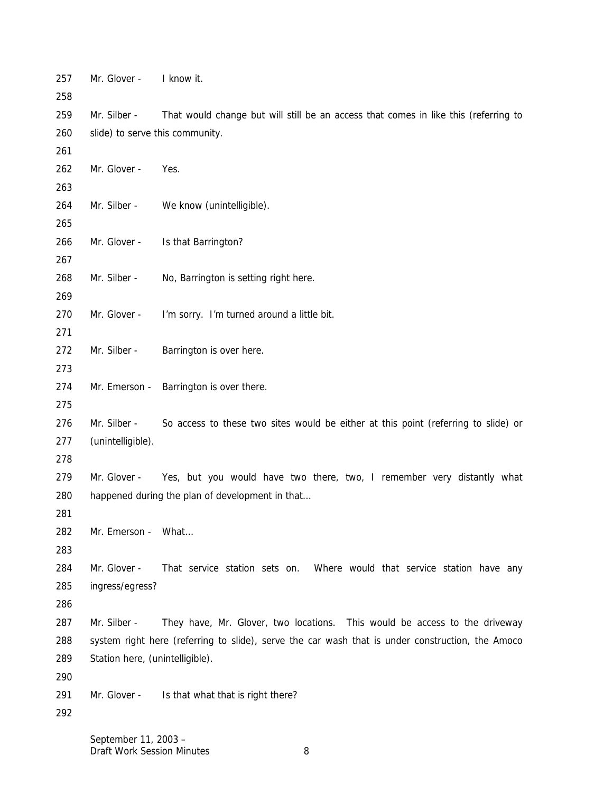| 257<br>258 | Mr. Glover -                                                                                     | I know it.                                                                          |
|------------|--------------------------------------------------------------------------------------------------|-------------------------------------------------------------------------------------|
| 259        | Mr. Silber -                                                                                     | That would change but will still be an access that comes in like this (referring to |
| 260        | slide) to serve this community.                                                                  |                                                                                     |
| 261        |                                                                                                  |                                                                                     |
| 262        | Mr. Glover -                                                                                     | Yes.                                                                                |
| 263        |                                                                                                  |                                                                                     |
| 264        | Mr. Silber -                                                                                     | We know (unintelligible).                                                           |
| 265        |                                                                                                  |                                                                                     |
| 266        | Mr. Glover -                                                                                     | Is that Barrington?                                                                 |
| 267        |                                                                                                  |                                                                                     |
| 268        | Mr. Silber -                                                                                     | No, Barrington is setting right here.                                               |
| 269        |                                                                                                  |                                                                                     |
| 270        | Mr. Glover -                                                                                     | I'm sorry. I'm turned around a little bit.                                          |
| 271        |                                                                                                  |                                                                                     |
| 272        | Mr. Silber -                                                                                     | Barrington is over here.                                                            |
| 273        |                                                                                                  |                                                                                     |
| 274        |                                                                                                  | Mr. Emerson - Barrington is over there.                                             |
| 275        |                                                                                                  |                                                                                     |
| 276        | Mr. Silber -                                                                                     | So access to these two sites would be either at this point (referring to slide) or  |
| 277        | (unintelligible).                                                                                |                                                                                     |
| 278        |                                                                                                  |                                                                                     |
| 279        | Mr. Glover -                                                                                     | Yes, but you would have two there, two, I remember very distantly what              |
| 280        |                                                                                                  | happened during the plan of development in that                                     |
| 281        |                                                                                                  |                                                                                     |
| 282        | Mr. Emerson - What                                                                               |                                                                                     |
| 283        |                                                                                                  |                                                                                     |
| 284        | Mr. Glover -                                                                                     | That service station sets on. Where would that service station have any             |
| 285        | ingress/egress?                                                                                  |                                                                                     |
| 286        |                                                                                                  |                                                                                     |
| 287        | Mr. Silber -                                                                                     | They have, Mr. Glover, two locations. This would be access to the driveway          |
| 288        | system right here (referring to slide), serve the car wash that is under construction, the Amoco |                                                                                     |
| 289        | Station here, (unintelligible).                                                                  |                                                                                     |
| 290        |                                                                                                  |                                                                                     |
| 291        | Mr. Glover -                                                                                     | Is that what that is right there?                                                   |
| 292        |                                                                                                  |                                                                                     |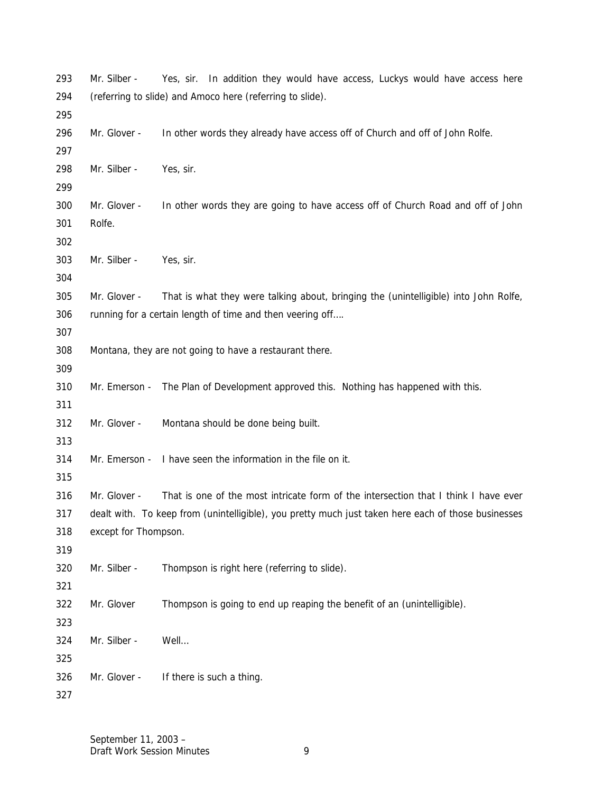| 293 | Mr. Silber -                                                                                        | In addition they would have access, Luckys would have access here<br>Yes, sir.       |
|-----|-----------------------------------------------------------------------------------------------------|--------------------------------------------------------------------------------------|
| 294 | (referring to slide) and Amoco here (referring to slide).                                           |                                                                                      |
| 295 |                                                                                                     |                                                                                      |
| 296 | Mr. Glover -                                                                                        | In other words they already have access off of Church and off of John Rolfe.         |
| 297 |                                                                                                     |                                                                                      |
| 298 | Mr. Silber -                                                                                        | Yes, sir.                                                                            |
| 299 |                                                                                                     |                                                                                      |
| 300 | Mr. Glover -                                                                                        | In other words they are going to have access off of Church Road and off of John      |
| 301 | Rolfe.                                                                                              |                                                                                      |
| 302 |                                                                                                     |                                                                                      |
| 303 | Mr. Silber -                                                                                        | Yes, sir.                                                                            |
| 304 |                                                                                                     |                                                                                      |
| 305 | Mr. Glover -                                                                                        | That is what they were talking about, bringing the (unintelligible) into John Rolfe, |
| 306 |                                                                                                     | running for a certain length of time and then veering off                            |
| 307 |                                                                                                     |                                                                                      |
| 308 |                                                                                                     | Montana, they are not going to have a restaurant there.                              |
| 309 |                                                                                                     |                                                                                      |
| 310 | Mr. Emerson -                                                                                       | The Plan of Development approved this. Nothing has happened with this.               |
| 311 |                                                                                                     |                                                                                      |
| 312 | Mr. Glover -                                                                                        | Montana should be done being built.                                                  |
| 313 |                                                                                                     |                                                                                      |
| 314 | Mr. Emerson -                                                                                       | I have seen the information in the file on it.                                       |
| 315 |                                                                                                     |                                                                                      |
| 316 | Mr. Glover -                                                                                        | That is one of the most intricate form of the intersection that I think I have ever  |
| 317 | dealt with. To keep from (unintelligible), you pretty much just taken here each of those businesses |                                                                                      |
| 318 | except for Thompson.                                                                                |                                                                                      |
| 319 |                                                                                                     |                                                                                      |
| 320 | Mr. Silber -                                                                                        | Thompson is right here (referring to slide).                                         |
| 321 |                                                                                                     |                                                                                      |
| 322 | Mr. Glover                                                                                          | Thompson is going to end up reaping the benefit of an (unintelligible).              |
| 323 |                                                                                                     |                                                                                      |
| 324 | Mr. Silber -                                                                                        | Well                                                                                 |
| 325 |                                                                                                     |                                                                                      |
| 326 | Mr. Glover -                                                                                        | If there is such a thing.                                                            |
| 327 |                                                                                                     |                                                                                      |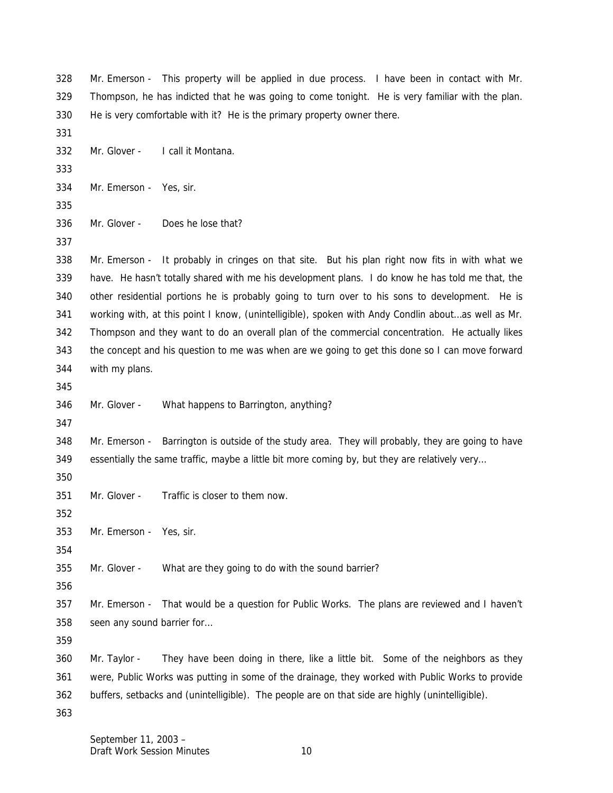Mr. Emerson - This property will be applied in due process. I have been in contact with Mr. Thompson, he has indicted that he was going to come tonight. He is very familiar with the plan. He is very comfortable with it? He is the primary property owner there. Mr. Glover - I call it Montana. Mr. Emerson - Yes, sir. Mr. Glover - Does he lose that? Mr. Emerson - It probably in cringes on that site. But his plan right now fits in with what we have. He hasn't totally shared with me his development plans. I do know he has told me that, the other residential portions he is probably going to turn over to his sons to development. He is working with, at this point I know, (unintelligible), spoken with Andy Condlin about…as well as Mr. Thompson and they want to do an overall plan of the commercial concentration. He actually likes the concept and his question to me was when are we going to get this done so I can move forward with my plans. Mr. Glover - What happens to Barrington, anything? Mr. Emerson - Barrington is outside of the study area. They will probably, they are going to have essentially the same traffic, maybe a little bit more coming by, but they are relatively very… Mr. Glover - Traffic is closer to them now. Mr. Emerson - Yes, sir. Mr. Glover - What are they going to do with the sound barrier? Mr. Emerson - That would be a question for Public Works. The plans are reviewed and I haven't seen any sound barrier for… Mr. Taylor - They have been doing in there, like a little bit. Some of the neighbors as they were, Public Works was putting in some of the drainage, they worked with Public Works to provide buffers, setbacks and (unintelligible). The people are on that side are highly (unintelligible).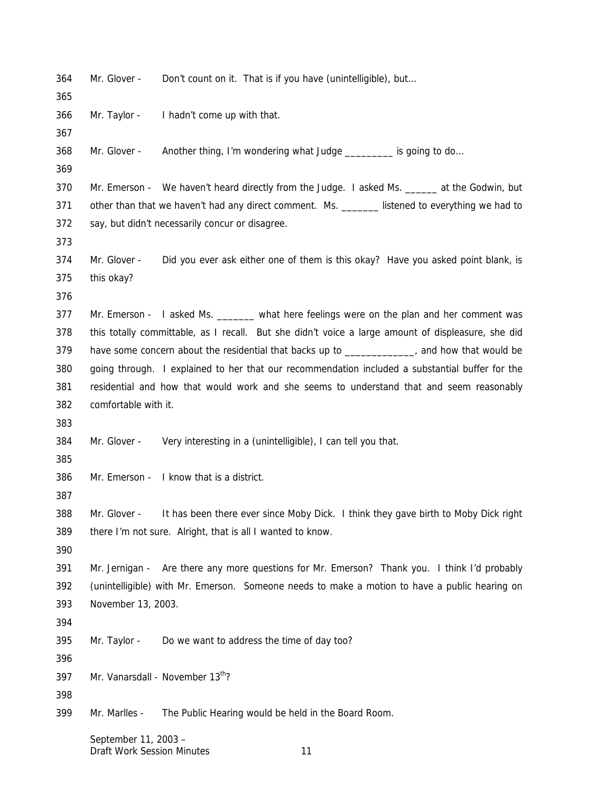| 364<br>365 | Mr. Glover -                                                                                   | Don't count on it. That is if you have (unintelligible), but                                       |  |
|------------|------------------------------------------------------------------------------------------------|----------------------------------------------------------------------------------------------------|--|
| 366        | Mr. Taylor -                                                                                   | I hadn't come up with that.                                                                        |  |
| 367        |                                                                                                |                                                                                                    |  |
| 368        | Mr. Glover -                                                                                   | Another thing, I'm wondering what Judge _________ is going to do                                   |  |
| 369        |                                                                                                |                                                                                                    |  |
| 370        |                                                                                                | Mr. Emerson - We haven't heard directly from the Judge. I asked Ms. ______ at the Godwin, but      |  |
| 371        |                                                                                                | other than that we haven't had any direct comment. Ms. _______ listened to everything we had to    |  |
| 372        |                                                                                                | say, but didn't necessarily concur or disagree.                                                    |  |
| 373        |                                                                                                |                                                                                                    |  |
| 374        | Mr. Glover -                                                                                   | Did you ever ask either one of them is this okay? Have you asked point blank, is                   |  |
| 375        | this okay?                                                                                     |                                                                                                    |  |
| 376        |                                                                                                |                                                                                                    |  |
| 377        |                                                                                                | Mr. Emerson - I asked Ms. ______ what here feelings were on the plan and her comment was           |  |
| 378        |                                                                                                | this totally committable, as I recall. But she didn't voice a large amount of displeasure, she did |  |
| 379        | have some concern about the residential that backs up to ______________, and how that would be |                                                                                                    |  |
| 380        |                                                                                                | going through. I explained to her that our recommendation included a substantial buffer for the    |  |
| 381        |                                                                                                | residential and how that would work and she seems to understand that and seem reasonably           |  |
| 382        | comfortable with it.                                                                           |                                                                                                    |  |
| 383        |                                                                                                |                                                                                                    |  |
| 384        | Mr. Glover -                                                                                   | Very interesting in a (unintelligible), I can tell you that.                                       |  |
| 385        |                                                                                                |                                                                                                    |  |
| 386        |                                                                                                | Mr. Emerson - I know that is a district.                                                           |  |
| 387        |                                                                                                |                                                                                                    |  |
| 388        | Mr. Glover -                                                                                   | It has been there ever since Moby Dick. I think they gave birth to Moby Dick right                 |  |
| 389        |                                                                                                | there I'm not sure. Alright, that is all I wanted to know.                                         |  |
| 390        |                                                                                                |                                                                                                    |  |
| 391        |                                                                                                | Mr. Jernigan - Are there any more questions for Mr. Emerson? Thank you. I think I'd probably       |  |
| 392        |                                                                                                | (unintelligible) with Mr. Emerson. Someone needs to make a motion to have a public hearing on      |  |
| 393        | November 13, 2003.                                                                             |                                                                                                    |  |
| 394        |                                                                                                |                                                                                                    |  |
| 395        | Mr. Taylor -                                                                                   | Do we want to address the time of day too?                                                         |  |
| 396        |                                                                                                |                                                                                                    |  |
| 397        |                                                                                                | Mr. Vanarsdall - November 13th?                                                                    |  |
| 398        |                                                                                                |                                                                                                    |  |
| 399        | Mr. Marlles -                                                                                  | The Public Hearing would be held in the Board Room.                                                |  |
|            |                                                                                                |                                                                                                    |  |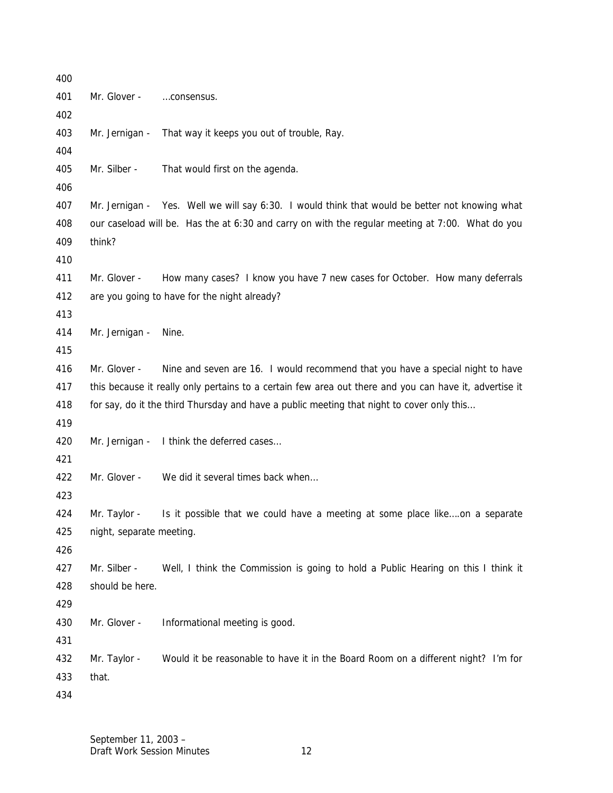| 400 |                                                                                                        |                                                                                                  |
|-----|--------------------------------------------------------------------------------------------------------|--------------------------------------------------------------------------------------------------|
| 401 | Mr. Glover -                                                                                           | consensus.                                                                                       |
| 402 |                                                                                                        |                                                                                                  |
| 403 | Mr. Jernigan -                                                                                         | That way it keeps you out of trouble, Ray.                                                       |
| 404 |                                                                                                        |                                                                                                  |
| 405 | Mr. Silber -                                                                                           | That would first on the agenda.                                                                  |
| 406 |                                                                                                        |                                                                                                  |
| 407 |                                                                                                        | Mr. Jernigan - Yes. Well we will say 6:30. I would think that would be better not knowing what   |
| 408 |                                                                                                        | our caseload will be. Has the at 6:30 and carry on with the regular meeting at 7:00. What do you |
| 409 | think?                                                                                                 |                                                                                                  |
| 410 |                                                                                                        |                                                                                                  |
| 411 | Mr. Glover -                                                                                           | How many cases? I know you have 7 new cases for October. How many deferrals                      |
| 412 |                                                                                                        | are you going to have for the night already?                                                     |
| 413 |                                                                                                        |                                                                                                  |
| 414 | Mr. Jernigan -                                                                                         | Nine.                                                                                            |
| 415 |                                                                                                        |                                                                                                  |
| 416 | Mr. Glover -                                                                                           | Nine and seven are 16. I would recommend that you have a special night to have                   |
| 417 | this because it really only pertains to a certain few area out there and you can have it, advertise it |                                                                                                  |
| 418 |                                                                                                        | for say, do it the third Thursday and have a public meeting that night to cover only this        |
| 419 |                                                                                                        |                                                                                                  |
| 420 |                                                                                                        | Mr. Jernigan - I think the deferred cases                                                        |
| 421 |                                                                                                        |                                                                                                  |
| 422 | Mr. Glover -                                                                                           | We did it several times back when                                                                |
| 423 |                                                                                                        |                                                                                                  |
| 424 | Mr. Taylor -                                                                                           | Is it possible that we could have a meeting at some place likeon a separate                      |
| 425 | night, separate meeting.                                                                               |                                                                                                  |
| 426 |                                                                                                        |                                                                                                  |
| 427 | Mr. Silber -                                                                                           | Well, I think the Commission is going to hold a Public Hearing on this I think it                |
| 428 | should be here.                                                                                        |                                                                                                  |
| 429 |                                                                                                        |                                                                                                  |
| 430 | Mr. Glover -                                                                                           | Informational meeting is good.                                                                   |
| 431 |                                                                                                        |                                                                                                  |
| 432 | Mr. Taylor -                                                                                           | Would it be reasonable to have it in the Board Room on a different night? I'm for                |
| 433 | that.                                                                                                  |                                                                                                  |
| 434 |                                                                                                        |                                                                                                  |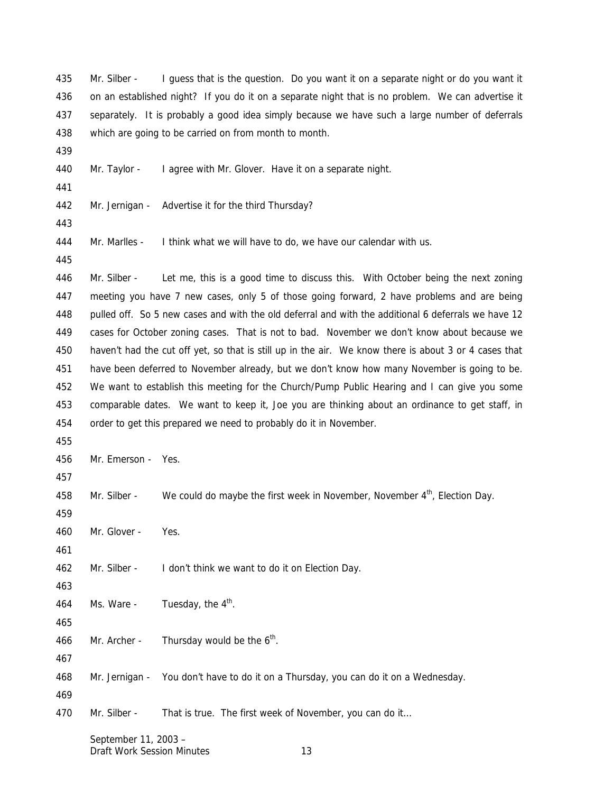on an established night? If you do it on a separate night that is no problem. We can advertise it separately. It is probably a good idea simply because we have such a large number of deferrals which are going to be carried on from month to month. Mr. Taylor - I agree with Mr. Glover. Have it on a separate night. Mr. Jernigan - Advertise it for the third Thursday? Mr. Marlles - I think what we will have to do, we have our calendar with us. Mr. Silber - Let me, this is a good time to discuss this. With October being the next zoning meeting you have 7 new cases, only 5 of those going forward, 2 have problems and are being pulled off. So 5 new cases and with the old deferral and with the additional 6 deferrals we have 12 cases for October zoning cases. That is not to bad. November we don't know about because we haven't had the cut off yet, so that is still up in the air. We know there is about 3 or 4 cases that have been deferred to November already, but we don't know how many November is going to be. We want to establish this meeting for the Church/Pump Public Hearing and I can give you some comparable dates. We want to keep it, Joe you are thinking about an ordinance to get staff, in order to get this prepared we need to probably do it in November. Mr. Emerson - Yes. 458 Mr. Silber - We could do maybe the first week in November, November  $4<sup>th</sup>$ , Election Day. Mr. Glover - Yes. Mr. Silber - I don't think we want to do it on Election Day. 464 Ms. Ware - Tuesday, the  $4<sup>th</sup>$ . 466 Mr. Archer - Thursday would be the  $6<sup>th</sup>$ . Mr. Jernigan - You don't have to do it on a Thursday, you can do it on a Wednesday. Mr. Silber - That is true. The first week of November, you can do it…

Mr. Silber - I guess that is the question. Do you want it on a separate night or do you want it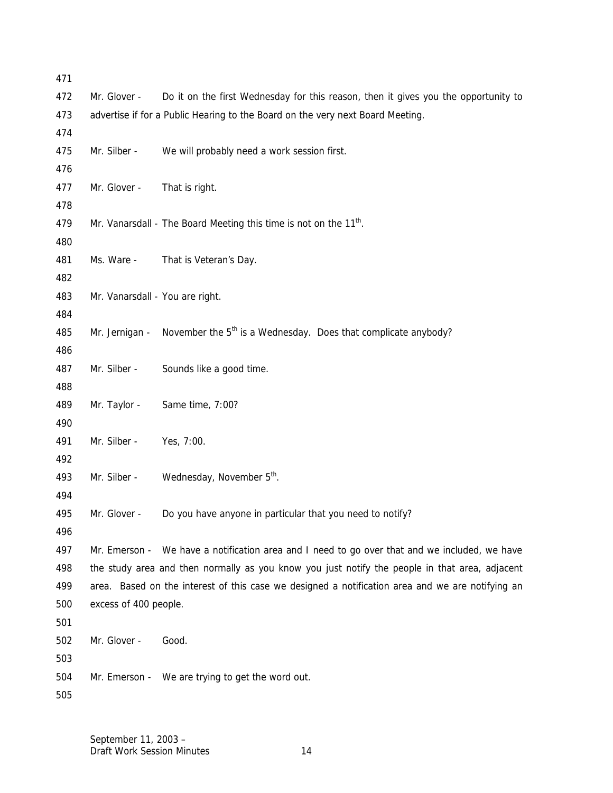| 471        |                                                                                                |                                                                                                  |
|------------|------------------------------------------------------------------------------------------------|--------------------------------------------------------------------------------------------------|
| 472        | Mr. Glover -                                                                                   | Do it on the first Wednesday for this reason, then it gives you the opportunity to               |
| 473        |                                                                                                | advertise if for a Public Hearing to the Board on the very next Board Meeting.                   |
| 474        |                                                                                                |                                                                                                  |
| 475        | Mr. Silber -                                                                                   | We will probably need a work session first.                                                      |
| 476        |                                                                                                |                                                                                                  |
| 477        | Mr. Glover -                                                                                   | That is right.                                                                                   |
| 478        |                                                                                                |                                                                                                  |
| 479        |                                                                                                | Mr. Vanarsdall - The Board Meeting this time is not on the 11 <sup>th</sup> .                    |
| 480        |                                                                                                |                                                                                                  |
| 481        | Ms. Ware -                                                                                     | That is Veteran's Day.                                                                           |
| 482        |                                                                                                |                                                                                                  |
| 483        | Mr. Vanarsdall - You are right.                                                                |                                                                                                  |
| 484        |                                                                                                |                                                                                                  |
| 485        |                                                                                                | Mr. Jernigan - November the $5th$ is a Wednesday. Does that complicate anybody?                  |
| 486        |                                                                                                |                                                                                                  |
| 487        | Mr. Silber -                                                                                   | Sounds like a good time.                                                                         |
| 488        |                                                                                                |                                                                                                  |
| 489        | Mr. Taylor -                                                                                   | Same time, 7:00?                                                                                 |
| 490        |                                                                                                |                                                                                                  |
| 491        | Mr. Silber -                                                                                   | Yes, 7:00.                                                                                       |
| 492        |                                                                                                |                                                                                                  |
| 493        | Mr. Silber -                                                                                   | Wednesday, November 5 <sup>th</sup> .                                                            |
| 494        |                                                                                                |                                                                                                  |
| 495        | Mr. Glover -                                                                                   | Do you have anyone in particular that you need to notify?                                        |
| 496<br>497 |                                                                                                | Mr. Emerson - We have a notification area and I need to go over that and we included, we have    |
| 498        |                                                                                                |                                                                                                  |
| 499        | the study area and then normally as you know you just notify the people in that area, adjacent |                                                                                                  |
| 500        | excess of 400 people.                                                                          | area. Based on the interest of this case we designed a notification area and we are notifying an |
| 501        |                                                                                                |                                                                                                  |
| 502        | Mr. Glover -                                                                                   | Good.                                                                                            |
| 503        |                                                                                                |                                                                                                  |
| 504        |                                                                                                | Mr. Emerson - We are trying to get the word out.                                                 |
| 505        |                                                                                                |                                                                                                  |
|            |                                                                                                |                                                                                                  |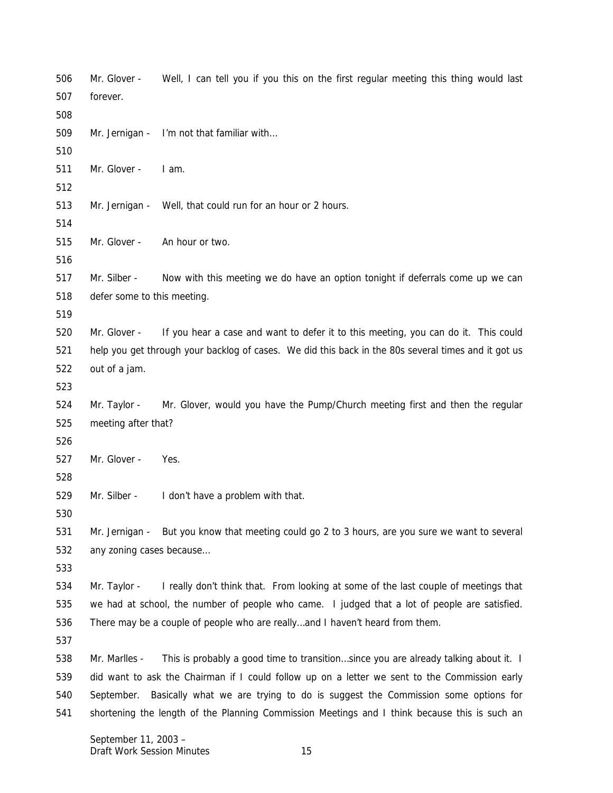Mr. Glover - Well, I can tell you if you this on the first regular meeting this thing would last forever. Mr. Jernigan - I'm not that familiar with… Mr. Glover - I am. Mr. Jernigan - Well, that could run for an hour or 2 hours. Mr. Glover - An hour or two. Mr. Silber - Now with this meeting we do have an option tonight if deferrals come up we can defer some to this meeting. Mr. Glover - If you hear a case and want to defer it to this meeting, you can do it. This could help you get through your backlog of cases. We did this back in the 80s several times and it got us out of a jam. Mr. Taylor - Mr. Glover, would you have the Pump/Church meeting first and then the regular meeting after that? Mr. Glover - Yes. Mr. Silber - I don't have a problem with that. Mr. Jernigan - But you know that meeting could go 2 to 3 hours, are you sure we want to several any zoning cases because… Mr. Taylor - I really don't think that. From looking at some of the last couple of meetings that we had at school, the number of people who came. I judged that a lot of people are satisfied. There may be a couple of people who are really…and I haven't heard from them. Mr. Marlles - This is probably a good time to transition…since you are already talking about it. I did want to ask the Chairman if I could follow up on a letter we sent to the Commission early September. Basically what we are trying to do is suggest the Commission some options for shortening the length of the Planning Commission Meetings and I think because this is such an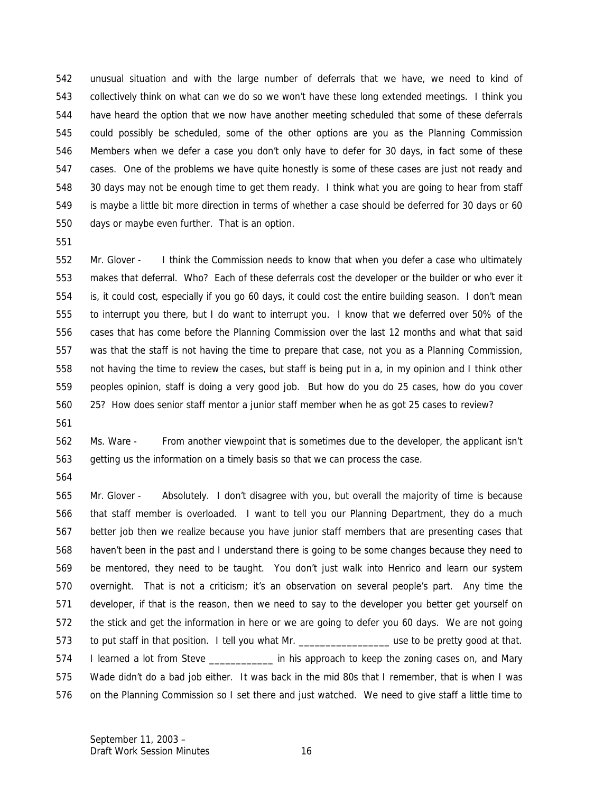unusual situation and with the large number of deferrals that we have, we need to kind of collectively think on what can we do so we won't have these long extended meetings. I think you have heard the option that we now have another meeting scheduled that some of these deferrals could possibly be scheduled, some of the other options are you as the Planning Commission Members when we defer a case you don't only have to defer for 30 days, in fact some of these cases. One of the problems we have quite honestly is some of these cases are just not ready and 30 days may not be enough time to get them ready. I think what you are going to hear from staff is maybe a little bit more direction in terms of whether a case should be deferred for 30 days or 60 days or maybe even further. That is an option.

 Mr. Glover - I think the Commission needs to know that when you defer a case who ultimately makes that deferral. Who? Each of these deferrals cost the developer or the builder or who ever it is, it could cost, especially if you go 60 days, it could cost the entire building season. I don't mean to interrupt you there, but I do want to interrupt you. I know that we deferred over 50% of the cases that has come before the Planning Commission over the last 12 months and what that said was that the staff is not having the time to prepare that case, not you as a Planning Commission, not having the time to review the cases, but staff is being put in a, in my opinion and I think other peoples opinion, staff is doing a very good job. But how do you do 25 cases, how do you cover 25? How does senior staff mentor a junior staff member when he as got 25 cases to review?

 Ms. Ware - From another viewpoint that is sometimes due to the developer, the applicant isn't getting us the information on a timely basis so that we can process the case.

 Mr. Glover - Absolutely. I don't disagree with you, but overall the majority of time is because that staff member is overloaded. I want to tell you our Planning Department, they do a much better job then we realize because you have junior staff members that are presenting cases that haven't been in the past and I understand there is going to be some changes because they need to be mentored, they need to be taught. You don't just walk into Henrico and learn our system overnight. That is not a criticism; it's an observation on several people's part. Any time the developer, if that is the reason, then we need to say to the developer you better get yourself on the stick and get the information in here or we are going to defer you 60 days. We are not going 573 to put staff in that position. I tell you what Mr. 574 I learned a lot from Steve \_\_\_\_\_\_\_\_\_\_\_\_\_\_ in his approach to keep the zoning cases on, and Mary Wade didn't do a bad job either. It was back in the mid 80s that I remember, that is when I was on the Planning Commission so I set there and just watched. We need to give staff a little time to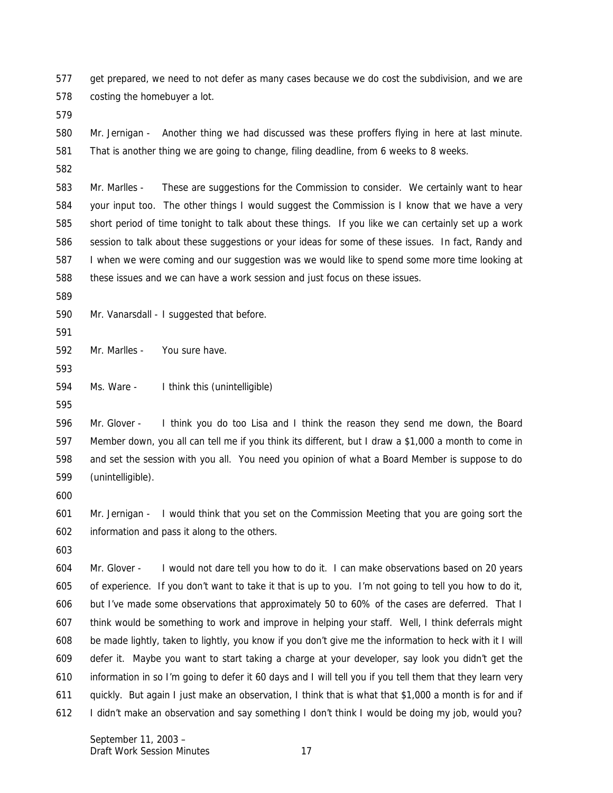get prepared, we need to not defer as many cases because we do cost the subdivision, and we are costing the homebuyer a lot.

 Mr. Jernigan - Another thing we had discussed was these proffers flying in here at last minute. That is another thing we are going to change, filing deadline, from 6 weeks to 8 weeks.

 Mr. Marlles - These are suggestions for the Commission to consider. We certainly want to hear your input too. The other things I would suggest the Commission is I know that we have a very short period of time tonight to talk about these things. If you like we can certainly set up a work session to talk about these suggestions or your ideas for some of these issues. In fact, Randy and I when we were coming and our suggestion was we would like to spend some more time looking at these issues and we can have a work session and just focus on these issues.

Mr. Vanarsdall - I suggested that before.

Mr. Marlles - You sure have.

Ms. Ware - I think this (unintelligible)

 Mr. Glover - I think you do too Lisa and I think the reason they send me down, the Board Member down, you all can tell me if you think its different, but I draw a \$1,000 a month to come in and set the session with you all. You need you opinion of what a Board Member is suppose to do (unintelligible).

 Mr. Jernigan - I would think that you set on the Commission Meeting that you are going sort the information and pass it along to the others.

 Mr. Glover - I would not dare tell you how to do it. I can make observations based on 20 years of experience. If you don't want to take it that is up to you. I'm not going to tell you how to do it, but I've made some observations that approximately 50 to 60% of the cases are deferred. That I think would be something to work and improve in helping your staff. Well, I think deferrals might be made lightly, taken to lightly, you know if you don't give me the information to heck with it I will defer it. Maybe you want to start taking a charge at your developer, say look you didn't get the information in so I'm going to defer it 60 days and I will tell you if you tell them that they learn very quickly. But again I just make an observation, I think that is what that \$1,000 a month is for and if I didn't make an observation and say something I don't think I would be doing my job, would you?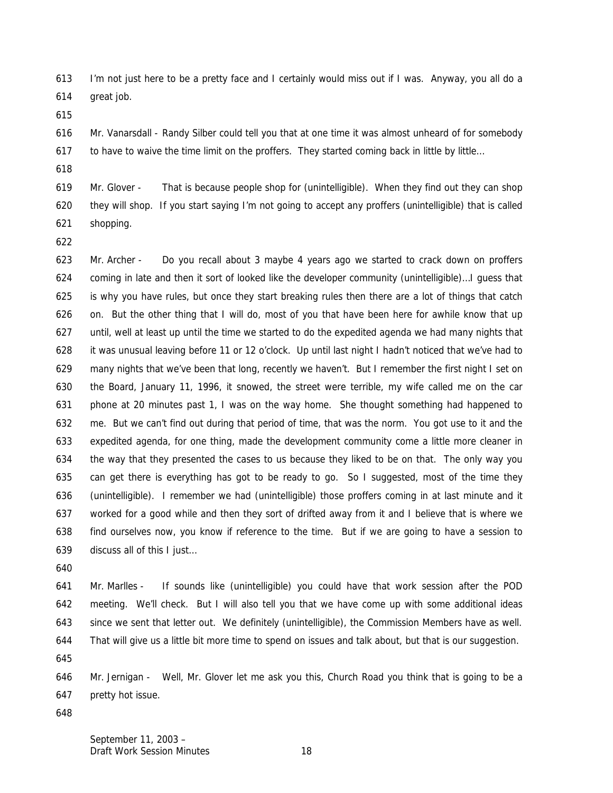I'm not just here to be a pretty face and I certainly would miss out if I was. Anyway, you all do a great job.

 Mr. Vanarsdall - Randy Silber could tell you that at one time it was almost unheard of for somebody 617 to have to waive the time limit on the proffers. They started coming back in little by little...

 Mr. Glover - That is because people shop for (unintelligible). When they find out they can shop they will shop. If you start saying I'm not going to accept any proffers (unintelligible) that is called shopping.

 Mr. Archer - Do you recall about 3 maybe 4 years ago we started to crack down on proffers coming in late and then it sort of looked like the developer community (unintelligible)…I guess that is why you have rules, but once they start breaking rules then there are a lot of things that catch 626 on. But the other thing that I will do, most of you that have been here for awhile know that up until, well at least up until the time we started to do the expedited agenda we had many nights that it was unusual leaving before 11 or 12 o'clock. Up until last night I hadn't noticed that we've had to many nights that we've been that long, recently we haven't. But I remember the first night I set on the Board, January 11, 1996, it snowed, the street were terrible, my wife called me on the car phone at 20 minutes past 1, I was on the way home. She thought something had happened to me. But we can't find out during that period of time, that was the norm. You got use to it and the expedited agenda, for one thing, made the development community come a little more cleaner in the way that they presented the cases to us because they liked to be on that. The only way you can get there is everything has got to be ready to go. So I suggested, most of the time they (unintelligible). I remember we had (unintelligible) those proffers coming in at last minute and it worked for a good while and then they sort of drifted away from it and I believe that is where we find ourselves now, you know if reference to the time. But if we are going to have a session to discuss all of this I just…

 Mr. Marlles - If sounds like (unintelligible) you could have that work session after the POD meeting. We'll check. But I will also tell you that we have come up with some additional ideas since we sent that letter out. We definitely (unintelligible), the Commission Members have as well. That will give us a little bit more time to spend on issues and talk about, but that is our suggestion.

 Mr. Jernigan - Well, Mr. Glover let me ask you this, Church Road you think that is going to be a pretty hot issue.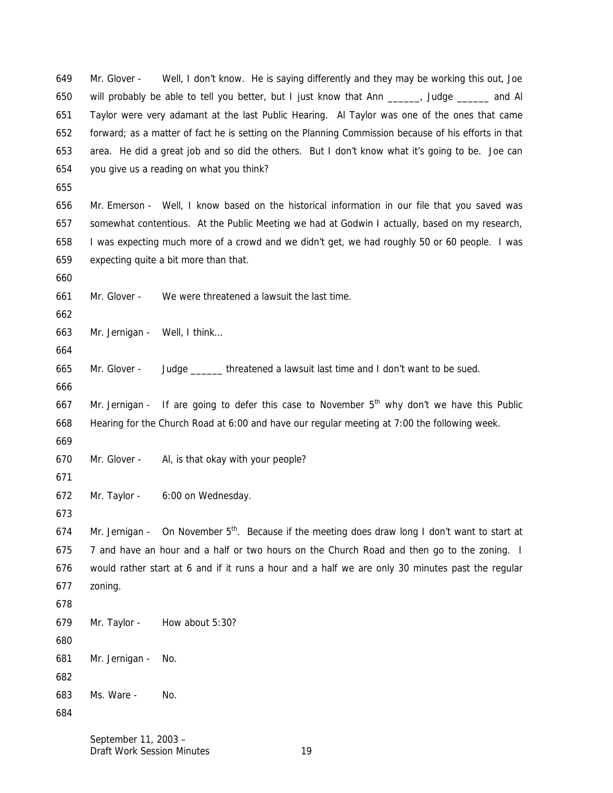Mr. Glover - Well, I don't know. He is saying differently and they may be working this out, Joe will probably be able to tell you better, but I just know that Ann \_\_\_\_\_\_, Judge \_\_\_\_\_\_ and Al Taylor were very adamant at the last Public Hearing. Al Taylor was one of the ones that came forward; as a matter of fact he is setting on the Planning Commission because of his efforts in that area. He did a great job and so did the others. But I don't know what it's going to be. Joe can you give us a reading on what you think?

 Mr. Emerson - Well, I know based on the historical information in our file that you saved was somewhat contentious. At the Public Meeting we had at Godwin I actually, based on my research, I was expecting much more of a crowd and we didn't get, we had roughly 50 or 60 people. I was expecting quite a bit more than that.

Mr. Glover - We were threatened a lawsuit the last time.

Mr. Jernigan - Well, I think…

Mr. Glover - Judge \_\_\_\_\_\_ threatened a lawsuit last time and I don't want to be sued.

667 Mr. Jernigan - If are going to defer this case to November  $5<sup>th</sup>$  why don't we have this Public Hearing for the Church Road at 6:00 and have our regular meeting at 7:00 the following week.

Mr. Glover - Al, is that okay with your people?

Mr. Taylor - 6:00 on Wednesday.

674 Mr. Jernigan - On November  $5<sup>th</sup>$ . Because if the meeting does draw long I don't want to start at 7 and have an hour and a half or two hours on the Church Road and then go to the zoning. I would rather start at 6 and if it runs a hour and a half we are only 30 minutes past the regular zoning.

 Mr. Taylor - How about 5:30? 

Mr. Jernigan - No.

 Ms. Ware - No.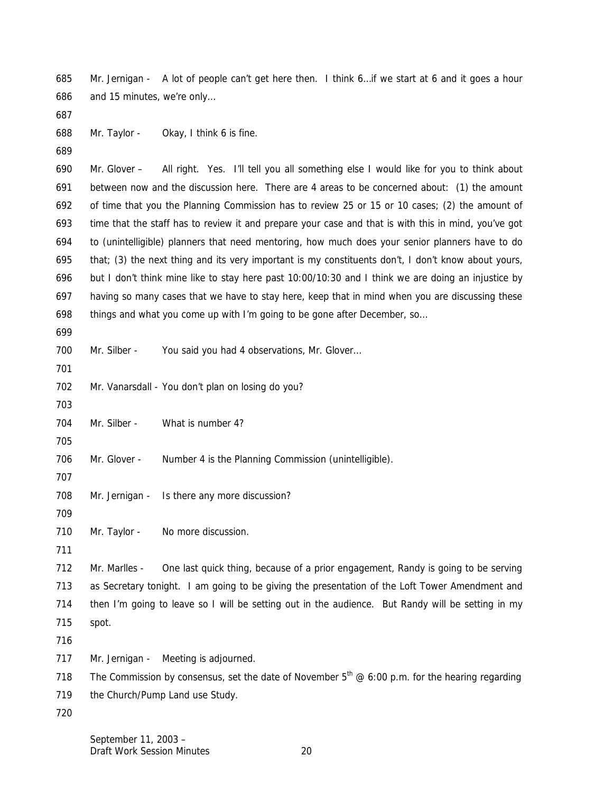Mr. Jernigan - A lot of people can't get here then. I think 6…if we start at 6 and it goes a hour and 15 minutes, we're only…

Mr. Taylor - Okay, I think 6 is fine.

 Mr. Glover – All right. Yes. I'll tell you all something else I would like for you to think about between now and the discussion here. There are 4 areas to be concerned about: (1) the amount of time that you the Planning Commission has to review 25 or 15 or 10 cases; (2) the amount of time that the staff has to review it and prepare your case and that is with this in mind, you've got to (unintelligible) planners that need mentoring, how much does your senior planners have to do that; (3) the next thing and its very important is my constituents don't, I don't know about yours, but I don't think mine like to stay here past 10:00/10:30 and I think we are doing an injustice by having so many cases that we have to stay here, keep that in mind when you are discussing these things and what you come up with I'm going to be gone after December, so…

700 Mr. Silber - You said you had 4 observations, Mr. Glover...

702 Mr. Vanarsdall - You don't plan on losing do you?

- 704 Mr. Silber What is number 4?
- Mr. Glover Number 4 is the Planning Commission (unintelligible).
- 
- 708 Mr. Jernigan Is there any more discussion?

- 710 Mr. Taylor No more discussion.
- 

 Mr. Marlles - One last quick thing, because of a prior engagement, Randy is going to be serving as Secretary tonight. I am going to be giving the presentation of the Loft Tower Amendment and then I'm going to leave so I will be setting out in the audience. But Randy will be setting in my spot.

Mr. Jernigan - Meeting is adjourned.

The Commission by consensus, set the date of November  $5<sup>th</sup> @ 6:00$  p.m. for the hearing regarding

719 the Church/Pump Land use Study.